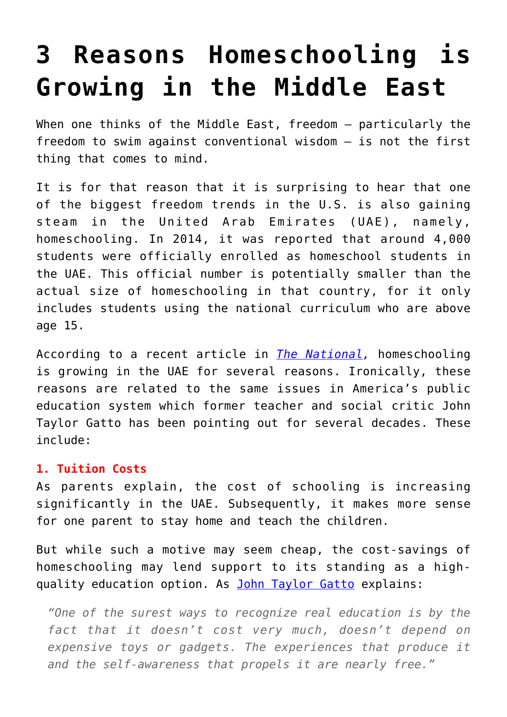## **[3 Reasons Homeschooling is](https://intellectualtakeout.org/2017/06/3-reasons-homeschooling-is-growing-in-the-middle-east/) [Growing in the Middle East](https://intellectualtakeout.org/2017/06/3-reasons-homeschooling-is-growing-in-the-middle-east/)**

When one thinks of the Middle East, freedom - particularly the freedom to swim against conventional wisdom – is not the first thing that comes to mind.

It is for that reason that it is surprising to hear that one of the biggest freedom trends in the U.S. is also gaining steam in the United Arab Emirates (UAE), namely, homeschooling. In 2014, it was reported that around 4,000 students were officially enrolled as homeschool students in the UAE. This official number is potentially smaller than the actual size of homeschooling in that country, for it only includes students using the national curriculum who are above age 15.

According to a recent article in *[The National](http://www.thenational.ae/arts-life/family/why-more-parents-in-the-uae-are-homeschooling-their-children),* homeschooling is growing in the UAE for several reasons. Ironically, these reasons are related to the same issues in America's public education system which former teacher and social critic John Taylor Gatto has been pointing out for several decades. These include:

## **1. Tuition Costs**

As parents explain, the cost of schooling is increasing significantly in the UAE. Subsequently, it makes more sense for one parent to stay home and teach the children.

But while such a motive may seem cheap, the cost-savings of homeschooling may lend support to its standing as a highquality education option. As [John Taylor Gatto](https://www.amazon.com/gp/product/0865718547/ref=as_li_qf_sp_asin_il_tl?ie=UTF8&tag=intelltakeo0d-20&camp=1789&creative=9325&linkCode=as2&creativeASIN=0865718547&linkId=22ef50c441d95339125a750a8f8d73f8) explains:

*"One of the surest ways to recognize real education is by the fact that it doesn't cost very much, doesn't depend on expensive toys or gadgets. The experiences that produce it and the self-awareness that propels it are nearly free."*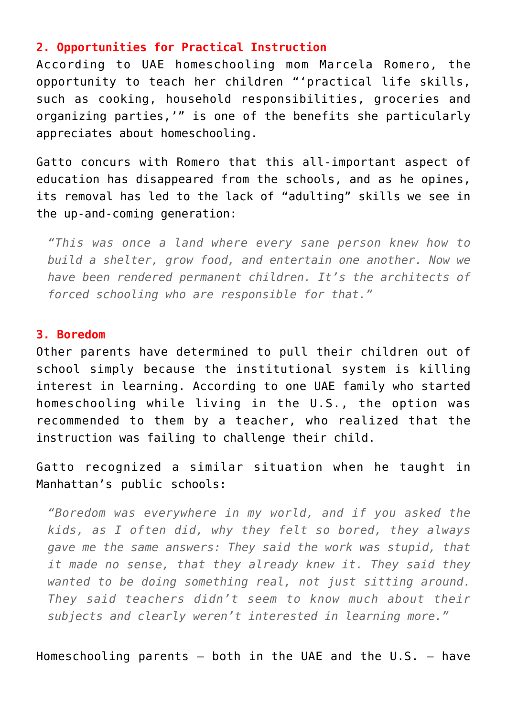## **2. Opportunities for Practical Instruction**

According to UAE homeschooling mom Marcela Romero, the opportunity to teach her children "'practical life skills, such as cooking, household responsibilities, groceries and organizing parties,'" is one of the benefits she particularly appreciates about homeschooling.

Gatto concurs with Romero that this all-important aspect of education has disappeared from the schools, and as he opines, its removal has led to the lack of "adulting" skills we see in the up-and-coming generation:

*"This was once a land where every sane person knew how to build a shelter, grow food, and entertain one another. Now we have been rendered permanent children. It's the architects of forced schooling who are responsible for that."*

## **3. Boredom**

Other parents have determined to pull their children out of school simply because the institutional system is killing interest in learning. According to one UAE family who started homeschooling while living in the U.S., the option was recommended to them by a teacher, who realized that the instruction was failing to challenge their child.

Gatto recognized a similar situation when he taught in Manhattan's public schools:

*"Boredom was everywhere in my world, and if you asked the kids, as I often did, why they felt so bored, they always gave me the same answers: They said the work was stupid, that it made no sense, that they already knew it. They said they wanted to be doing something real, not just sitting around. They said teachers didn't seem to know much about their subjects and clearly weren't interested in learning more."*

Homeschooling parents  $-$  both in the UAE and the U.S.  $-$  have